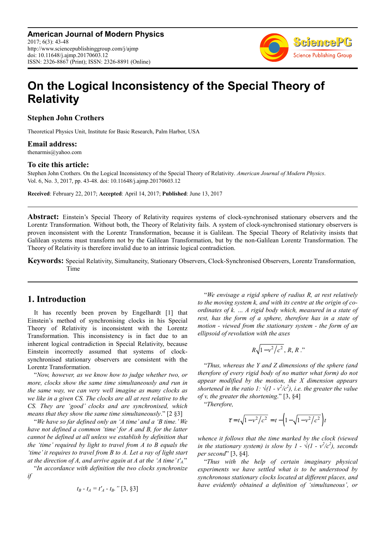**American Journal of Modern Physics** 2017; 6(3): 43-48 http://www.sciencepublishinggroup.com/j/ajmp doi: 10.11648/j.ajmp.20170603.12 ISSN: 2326-8867 (Print); ISSN: 2326-8891 (Online)



# **On the Logical Inconsistency of the Special Theory of Relativity**

#### **Stephen John Crothers**

Theoretical Physics Unit, Institute for Basic Research, Palm Harbor, USA

#### **Email address:**

thenarmis@yahoo.com

#### **To cite this article:**

Stephen John Crothers. On the Logical Inconsistency of the Special Theory of Relativity. *American Journal of Modern Physics*. Vol. 6, No. 3, 2017, pp. 43-48. doi: 10.11648/j.ajmp.20170603.12

**Received**: February 22, 2017; **Accepted**: April 14, 2017; **Published**: June 13, 2017

**Abstract:** Einstein's Special Theory of Relativity requires systems of clock-synchronised stationary observers and the Lorentz Transformation. Without both, the Theory of Relativity fails. A system of clock-synchronised stationary observers is proven inconsistent with the Lorentz Transformation, because it is Galilean. The Special Theory of Relativity insists that Galilean systems must transform not by the Galilean Transformation, but by the non-Galilean Lorentz Transformation. The Theory of Relativity is therefore invalid due to an intrinsic logical contradiction.

**Keywords:** Special Relativity, Simultaneity, Stationary Observers, Clock-Synchronised Observers, Lorentz Transformation, Time

## **1. Introduction**

It has recently been proven by Engelhardt [1] that Einstein's method of synchronising clocks in his Special Theory of Relativity is inconsistent with the Lorentz Transformation. This inconsistency is in fact due to an inherent logical contradiction in Special Relativity, because Einstein incorrectly assumed that systems of clocksynchronised stationary observers are consistent with the Lorentz Transformation.

"*Now, however, as we know how to judge whether two, or more, clocks show the same time simultaneously and run in the same way, we can very well imagine as many clocks as we like in a given CS. The clocks are all at rest relative to the CS. They are 'good' clocks and are synchronised, which means that they show the same time simultaneously*." [2 §3]

"*We have so far defined only an 'A time' and a 'B time.' We have not defined a common 'time' for A and B, for the latter cannot be defined at all unless we establish by definition that the 'time' required by light to travel from A to B equals the 'time' it requires to travel from B to A. Let a ray of light start at the direction of A, and arrive again at A at the 'A time' t'A.*"

"*In accordance with definition the two clocks synchronize if* 

$$
t_B - t_A = t'_A - t_B.
$$
" [3, §3]

"*We envisage a rigid sphere of radius R, at rest relatively to the moving system k, and with its centre at the origin of coordinates of k. … A rigid body which, measured in a state of rest, has the form of a sphere, therefore has in a state of motion - viewed from the stationary system - the form of an ellipsoid of revolution with the axes*

$$
R\sqrt{1-v^2/c^2}, R, R, \ldots
$$

"*Thus, whereas the Y and Z dimensions of the sphere (and therefore of every rigid body of no matter what form) do not appear modified by the motion, the X dimension appears shortened in the ratio 1:*  $\sqrt{(1 - v^2/c^2)}$ , *i.e. the greater the value of v, the greater the shortening*." [3, §4]

"*Therefore,*

$$
\tau = t\sqrt{1 - v^2/c^2} = t - \left(1 - \sqrt{1 - v^2/c^2}\right)t
$$

*whence it follows that the time marked by the clock (viewed in the stationary system) is slow by 1 -*  $\sqrt{(1 - v^2/c^2)}$ , seconds *per second*" [3, §4].

"*Thus with the help of certain imaginary physical experiments we have settled what is to be understood by synchronous stationary clocks located at different places, and have evidently obtained a definition of 'simultaneous', or*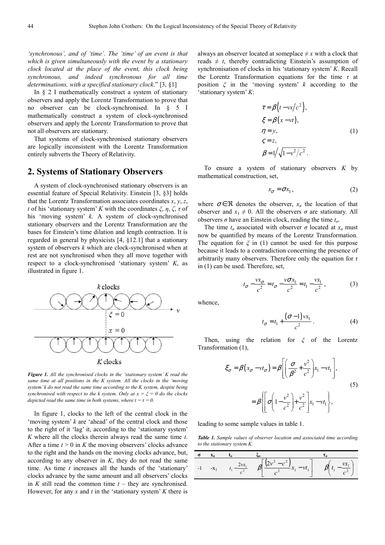*'synchronous', and of 'time'. The 'time' of an event is that which is given simultaneously with the event by a stationary clock located at the place of the event, this clock being synchronous, and indeed synchronous for all time determinations, with a specified stationary clock*." [3, §1]

In § 2 I mathematically construct a system of stationary observers and apply the Lorentz Transformation to prove that no observer can be clock-synchronised. In § 5 I mathematically construct a system of clock-synchronised observers and apply the Lorentz Transformation to prove that not all observers are stationary.

That systems of clock-synchronised stationary observers are logically inconsistent with the Lorentz Transformation entirely subverts the Theory of Relativity.

### **2. Systems of Stationary Observers**

A system of clock-synchronised stationary observers is an essential feature of Special Relativity. Einstein [3, §3] holds that the Lorentz Transformation associates coordinates *x*, *y*, *z*, *t* of his 'stationary system' *K* with the coordinates  $\xi$ ,  $\eta$ ,  $\zeta$ ,  $\tau$  of his 'moving system' *k*. A system of clock-synchronised stationary observers and the Lorentz Transformation are the bases for Einstein's time dilation and length contraction. It is regarded in general by physicists [4, §12.1] that a stationary system of observers *k* which are clock-synchronised when at rest are not synchronised when they all move together with respect to a clock-synchronised 'stationary system' *K*, as illustrated in figure 1.



*Figure 1. All the synchronised clocks in the 'stationary system' K read the same time at all positions in the K system. All the clocks in the 'moving system' k do not read the same time according to the K system, despite being synchronised with respect to the k system. Only at*  $x = \xi = 0$  *do the clocks depicted read the same time in both systems, where*  $t = \tau = 0$ *.* 

In figure 1, clocks to the left of the central clock in the 'moving system' *k* are 'ahead' of the central clock and those to the right of it 'lag' it, according to the 'stationary system' *K* where all the clocks therein always read the same time *t*. After a time  $t > 0$  in K the moving observers' clocks advance to the right and the hands on the moving clocks advance, but, according to any observer in *K*, they do not read the same time. As time *t* increases all the hands of the 'stationary' clocks advance by the same amount and all observers' clocks in  $K$  still read the common time  $t$  – they are synchronised. However, for any  $x$  and  $t$  in the 'stationary system'  $K$  there is always an observer located at someplace  $\neq x$  with a clock that reads  $\neq t$ , thereby contradicting Einstein's assumption of synchronisation of clocks in his 'stationary system' *K*. Recall the Lorentz Transformation equations for the time *τ* at position *ξ* in the 'moving system' *k* according to the 'stationary system' *K*:

$$
\tau = \beta(t - vx/c^2),
$$
  
\n
$$
\xi = \beta(x - vt),
$$
  
\n
$$
\eta = y,
$$
  
\n
$$
\zeta = z,
$$
  
\n
$$
\beta = 1/\sqrt{1 - v^2/c^2}.
$$
  
\n(1)

To ensure a system of stationary observers *K* by mathematical construction, set,

$$
x_{\sigma} = \sigma x_1, \tag{2}
$$

where  $\sigma \in \mathcal{R}$  denotes the observer,  $x_{\sigma}$  the location of that observer and  $x_1 \neq 0$ . All the observers  $\sigma$  are stationary. All observers *σ* have an Einstein clock, reading the time  $t<sub>σ</sub>$ .

The time  $t_{\sigma}$  associated with observer  $\sigma$  located at  $x_{\sigma}$  must now be quantified by means of the Lorentz Transformation. The equation for  $\xi$  in (1) cannot be used for this purpose because it leads to a contradiction concerning the presence of arbitrarily many observers. Therefore only the equation for *τ* in (1) can be used. Therefore, set,

$$
t_{\sigma} - \frac{vx_{\sigma}}{c^2} = t_{\sigma} - \frac{v\sigma x_1}{c^2} = t_1 - \frac{vx_1}{c^2},
$$
 (3)

whence,

$$
t_{\sigma} = t_1 + \frac{(\sigma - 1)vx_1}{c^2} \tag{4}
$$

Then, using the relation for *ξ* of the Lorentz Transformation (1),

$$
\xi_{\sigma} = \beta (x_{\sigma} - vt_{\sigma}) = \beta \left[ \left( \frac{\sigma}{\beta^2} + \frac{v^2}{c^2} \right) x_1 - vt_1 \right],
$$
\n
$$
= \beta \left\{ \left[ \sigma \left( 1 - \frac{v^2}{c^2} \right) + \frac{v^2}{c^2} \right] x_1 - vt_1 \right\},
$$
\n(5)

leading to some sample values in table 1.

*Table 1. Sample values of observer location and associated time according to the stationary system K.* 

$$
\begin{array}{c|c}\n\hline\n\sigma & x_{\sigma} & t_{\sigma} \\
\hline\n-1 & -x_1 & t_1 - \frac{2vx_1}{c^2} & \beta \left[ \frac{(2v^2 - c^2)}{c^2} x_1 - vt_1 \right] & \beta \left( t_1 - \frac{vx_1}{c^2} \right)\n\end{array}
$$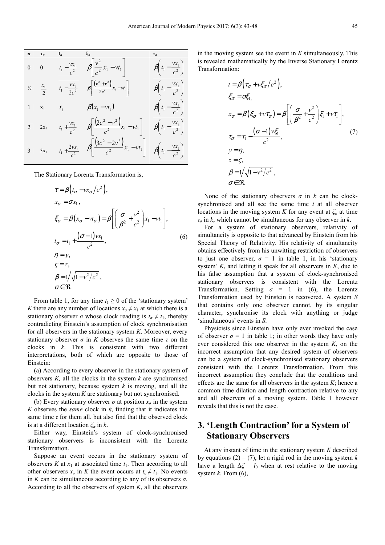|              |          | $\sigma$ $x_{\sigma}$ $t_{\sigma}$ $\xi_{\sigma}$ |                                                                                                                                     |                                          |
|--------------|----------|---------------------------------------------------|-------------------------------------------------------------------------------------------------------------------------------------|------------------------------------------|
| $0 \qquad 0$ |          |                                                   | $t_1 - \frac{vx_1}{c^2}$ $\beta \left[ \frac{v^2}{c^2} x_1 - vt_1 \right]$                                                          | $\beta\left(t_1-\frac{vx_1}{c^2}\right)$ |
|              |          |                                                   | $v_2$ $\frac{x_1}{2}$ $t_1 - \frac{vx_1}{2c^2}$ $\beta \left  \frac{(c^2 + v^2)}{2c^2} x_1 - vt_1 \right $                          | $\beta\left(t_1-\frac{vx_1}{c^2}\right)$ |
|              |          |                                                   | 1 $x_1$ $t_1$ $\beta(x_1 - vt_1)$ $\beta(t_1 - \frac{vx_1}{c^2})$                                                                   |                                          |
|              | 2 $2x_1$ |                                                   | $t_1 + \frac{vx_1}{c^2}$ $\beta \left[ \frac{(2c^2 - v^2)}{c^2} x_1 - vt_1 \right]$ $\beta \left( t_1 - \frac{vx_1}{c^2} \right)$   |                                          |
|              | 3 $3x_1$ |                                                   | $t_1 + \frac{2vx_1}{c^2}$ $\beta \left[ \frac{(3c^2 - 2v^2)}{c^2} x_1 - vt_1 \right]$ $\beta \left( t_1 - \frac{vx_1}{c^2} \right)$ |                                          |

The Stationary Lorentz Transformation is,

$$
\tau = \beta \left( t_{\sigma} - vx_{\sigma} / c^2 \right),
$$
  
\n
$$
x_{\sigma} = \sigma x_1,
$$
  
\n
$$
\xi_{\sigma} = \beta \left( x_{\sigma} - vt_{\sigma} \right) = \beta \left[ \left( \frac{\sigma}{\beta^2} + \frac{v^2}{c^2} \right) x_1 - vt_1 \right],
$$
  
\n
$$
t_{\sigma} = t_1 + \frac{(\sigma - 1)vx_1}{c^2},
$$
  
\n
$$
\eta = y,
$$
  
\n
$$
\zeta = z,
$$
  
\n
$$
\beta = 1/\sqrt{1 - v^2/c^2},
$$
  
\n
$$
\sigma \in \Re.
$$
  
\n(6)

From table 1, for any time  $t_1 \geq 0$  of the 'stationary system' *K* there are any number of locations  $x_q \neq x_1$  at which there is a stationary observer  $\sigma$  whose clock reading is  $t_{\sigma} \neq t_1$ , thereby contradicting Einstein's assumption of clock synchronisation for all observers in the stationary system *K*. Moreover, every stationary observer  $\sigma$  in *K* observes the same time  $\tau$  on the clocks in *k*. This is consistent with two different interpretations, both of which are opposite to those of Einstein:

(a) According to every observer in the stationary system of observers *K,* all the clocks in the system *k* are synchronised but not stationary, because system *k* is moving, and all the clocks in the system *K* are stationary but not synchronised.

(b) Every stationary observer  $\sigma$  at position  $x_{\sigma}$  in the system *K* observes the *same* clock in *k*, finding that it indicates the same time  $\tau$  for them all, but also find that the observed clock is at a different location *ξσ* in *k*.

Either way, Einstein's system of clock-synchronised stationary observers is inconsistent with the Lorentz Transformation.

Suppose an event occurs in the stationary system of observers  $K$  at  $x_1$  at associated time  $t_1$ . Then according to all other observers  $x_{\sigma}$  in *K* the event occurs at  $t_{\sigma} \neq t_1$ . No events in *K* can be simultaneous according to any of its observers  $\sigma$ . According to all the observers of system *K*, all the observers

in the moving system see the event in *K* simultaneously. This is revealed mathematically by the Inverse Stationary Lorentz Transformation:

$$
t = \beta \left( \tau_{\sigma} + v \xi_{\sigma} / c^2 \right),
$$
  
\n
$$
\xi_{\sigma} = \sigma \xi_{1},
$$
  
\n
$$
x_{\sigma} = \beta \left( \xi_{\sigma} + v \tau_{\sigma} \right) = \beta \left[ \left( \frac{\sigma}{\beta^2} + \frac{v^2}{c^2} \right) \xi_1 + v \tau_1 \right],
$$
  
\n
$$
\tau_{\sigma} = \tau_1 - \frac{(\sigma - 1)v \xi_1}{c^2},
$$
  
\n
$$
y = \eta,
$$
  
\n
$$
z = \zeta,
$$
  
\n
$$
\beta = 1/\sqrt{1 - v^2/c^2},
$$
  
\n
$$
\sigma \in \Re.
$$
  
\n(7)

None of the stationary observers  $\sigma$  in  $k$  can be clocksynchronised and all see the same time *t* at all observer locations in the moving system *K* for any event at  $\zeta$ <sup>*σ*</sup> at time *τσ* in *k*, which cannot be simultaneous for any observer in *k*.

For a system of stationary observers, relativity of simultaneity is opposite to that advanced by Einstein from his Special Theory of Relativity. His relativity of simultaneity obtains effectively from his unwitting restriction of observers to just one observer,  $\sigma = 1$  in table 1, in his 'stationary system' *K*, and letting it speak for all observers in *K*, due to his false assumption that a system of clock-synchronised stationary observers is consistent with the Lorentz Transformation. Setting  $\sigma = 1$  in (6), the Lorentz Transformation used by Einstein is recovered. A system *S* that contains only one observer cannot, by its singular character, synchronise its clock with anything or judge 'simultaneous' events in *S*.

Physicists since Einstein have only ever invoked the case of observer  $\sigma = 1$  in table 1; in other words they have only ever considered this one observer in the system *K*, on the incorrect assumption that any desired system of observers can be a system of clock-synchronised stationary observers consistent with the Lorentz Transformation. From this incorrect assumption they conclude that the conditions and effects are the same for all observers in the system *K*; hence a common time dilation and length contraction relative to any and all observers of a moving system. Table 1 however reveals that this is not the case.

# **3. 'Length Contraction' for a System of Stationary Observers**

At any instant of time in the stationary system *K* described by equations  $(2) - (7)$ , let a rigid rod in the moving system *k* have a length  $\Delta \xi = l_0$  when at rest relative to the moving system *k*. From (6),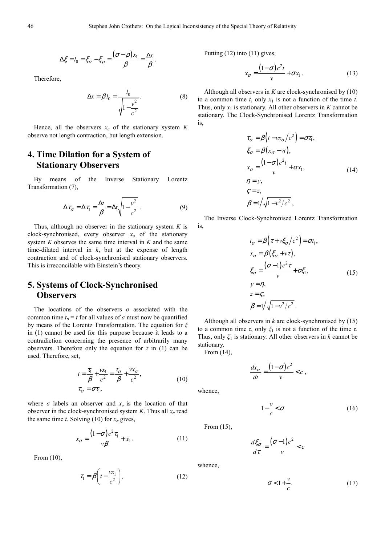$$
\Delta \xi = l_0 = \xi_{\sigma} - \xi_{\rho} = \frac{(\sigma - \rho)x_1}{\beta} = \frac{\Delta x}{\beta}.
$$

Therefore,

$$
\Delta x = \beta l_0 = \frac{l_0}{\sqrt{1 - \frac{v^2}{c^2}}}.
$$
 (8)

Hence, all the observers  $x_{\sigma}$  of the stationary system *K* observe not length contraction, but length extension.

## **4. Time Dilation for a System of Stationary Observers**

By means of the Inverse Stationary Lorentz Transformation (7),

$$
\Delta \tau_{\sigma} = \Delta \tau_1 = \frac{\Delta t}{\beta} = \Delta t \sqrt{1 - \frac{v^2}{c^2}}.
$$
 (9)

Thus, although no observer in the stationary system *K* is clock-synchronised, every observer  $x<sub>σ</sub>$  of the stationary system *K* observes the same time interval in *K* and the same time-dilated interval in *k*, but at the expense of length contraction and of clock-synchronised stationary observers. This is irreconcilable with Einstein's theory.

## **5. Systems of Clock-Synchronised Observers**

The locations of the observers  $\sigma$  associated with the common time  $t_{\sigma} = t$  for all values of  $\sigma$  must now be quantified by means of the Lorentz Transformation. The equation for *ξ* in (1) cannot be used for this purpose because it leads to a contradiction concerning the presence of arbitrarily many observers. Therefore only the equation for  $\tau$  in (1) can be used. Therefore, set,

$$
t = \frac{\tau_1}{\beta} + \frac{vx_1}{c^2} = \frac{\tau_\sigma}{\beta} + \frac{vx_\sigma}{c^2},
$$
  
\n
$$
\tau_\sigma = \sigma \tau_1,
$$
\n(10)

where  $\sigma$  labels an observer and  $x_{\sigma}$  is the location of that observer in the clock-synchronised system *K*. Thus all *xσ* read the same time *t*. Solving (10) for  $x_{\sigma}$  gives,

$$
x_{\sigma} = \frac{(1-\sigma)c^2\tau_1}{\nu\beta} + x_1.
$$
 (11)

From (10),

$$
\tau_1 = \beta \bigg( t - \frac{vx_1}{c^2} \bigg). \tag{12}
$$

Putting (12) into (11) gives,

$$
x_{\sigma} = \frac{(1-\sigma)c^2t}{v} + \sigma x_1.
$$
 (13)

Although all observers in *K* are clock-synchronised by (10) to a common time  $t$ , only  $x_1$  is not a function of the time  $t$ . Thus, only  $x_1$  is stationary. All other observers in *K* cannot be stationary. The Clock-Synchronised Lorentz Transformation is,

$$
\tau_{\sigma} = \beta \left( t - v x_{\sigma} / c^2 \right) = \sigma \tau_1,
$$
\n
$$
\xi_{\sigma} = \beta (x_{\sigma} - vt),
$$
\n
$$
x_{\sigma} = \frac{(1 - \sigma) c^2 t}{v} + \sigma x_1,
$$
\n
$$
\eta = y,
$$
\n
$$
\zeta = z,
$$
\n
$$
\beta = 1/\sqrt{1 - v^2/c^2},
$$
\n(14)

The Inverse Clock-Synchronised Lorentz Transformation is,

$$
t_{\sigma} = \beta \Big( \tau + v \xi_{\sigma} / c^2 \Big) = \sigma t_1,
$$
  
\n
$$
x_{\sigma} = \beta \Big( \xi_{\sigma} + v \tau \Big),
$$
  
\n
$$
\xi_{\sigma} = \frac{(\sigma - 1) c^2 \tau}{v} + \sigma \xi_1,
$$
  
\n
$$
y = \eta,
$$
  
\n
$$
z = \zeta,
$$
  
\n
$$
\beta = 1 / \sqrt{1 - v^2 / c^2}.
$$
\n(15)

Although all observers in *k* are clock-synchronised by (15) to a common time *τ*, only *ξ*1 is not a function of the time *τ*. Thus, only *ξ*1 is stationary. All other observers in *k* cannot be stationary.

From (14),

$$
\frac{dx_{\sigma}}{dt} = \frac{(1-\sigma)c^2}{v} < c \;,
$$

 $1 - \frac{v}{x}$ 

whence,

From (15),

 $\frac{d\xi_{\sigma}}{dt} = \frac{(\sigma - 1)c^2}{c} < c$  $d\tau$  *v*  $\zeta_{\sigma}$  (σ τ  $=\frac{(\sigma-1)c^2}{\sigma}$ 

whence,

$$
\sigma < 1 + \frac{\nu}{c}.\tag{17}
$$

 $-\frac{v}{c} < \sigma$ (16)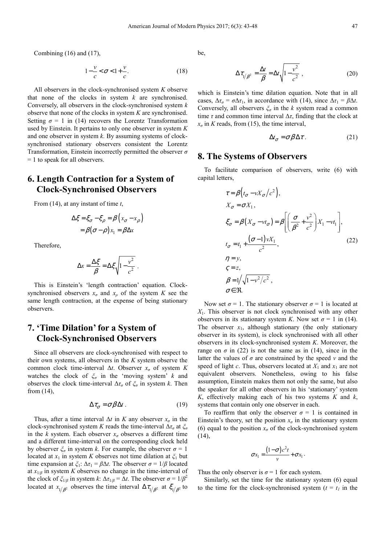Combining (16) and (17),

$$
1 - \frac{v}{c} < \sigma < 1 + \frac{v}{c}.\tag{18}
$$

All observers in the clock-synchronised system *K* observe that none of the clocks in system *k* are synchronised. Conversely, all observers in the clock-synchronised system *k* observe that none of the clocks in system *K* are synchronised. Setting  $\sigma = 1$  in (14) recovers the Lorentz Transformation used by Einstein. It pertains to only one observer in system *K* and one observer in system *k*. By assuming systems of clocksynchronised stationary observers consistent the Lorentz Transformation, Einstein incorrectly permitted the observer *σ* = 1 to speak for all observers.

## **6. Length Contraction for a System of Clock-Synchronised Observers**

From (14), at any instant of time *t*,

$$
\Delta \xi = \xi_{\sigma} - \xi_{\rho} = \beta \left( x_{\sigma} - x_{\rho} \right)
$$

$$
= \beta (\sigma - \rho) x_1 = \beta \Delta x
$$

Therefore,

$$
\Delta x = \frac{\Delta \xi}{\beta} = \Delta \xi \sqrt{1 - \frac{v^2}{c^2}}.
$$

This is Einstein's 'length contraction' equation. Clocksynchronised observers  $x_{\sigma}$  and  $x_{\rho}$  of the system *K* see the same length contraction, at the expense of being stationary observers.

# **7. 'Time Dilation' for a System of Clock-Synchronised Observers**

Since all observers are clock-synchronised with respect to their own systems, all observers in the *K* system observe the common clock time-interval  $\Delta t$ . Observer  $x_{\sigma}$  of system K watches the clock of *ξσ* in the 'moving system' *k* and observes the clock time-interval  $\Delta \tau_{\sigma}$  of  $\zeta_{\sigma}$  in system *k*. Then from (14),

$$
\Delta \tau_{\sigma} = \sigma \beta \Delta t \,. \tag{19}
$$

Thus, after a time interval  $\Delta t$  in *K* any observer  $x_{\sigma}$  in the clock-synchronised system *K* reads the time-interval  $\Delta \tau_q$  at  $\zeta_q$ in the *k* system. Each observer  $x_{\sigma}$  observes a different time and a different time-interval on the corresponding clock held by observer  $\zeta$ <sup>*σ*</sup> in system *k*. For example, the observer  $\sigma = 1$ located at  $x_1$  in system *K* observes not time dilation at  $\zeta_1$  but time expansion at  $\zeta_1$ :  $\Delta \tau_1 = \beta \Delta t$ . The observer  $\sigma = 1/\beta$  located at  $x_{1/\beta}$  in system *K* observes no change in the time-interval of the clock of  $\zeta_{1/\beta}$  in system *k*:  $\Delta \tau_{1/\beta} = \Delta t$ . The observer  $\sigma = 1/\beta^2$ located at  $x_{1/\beta^2}$  observes the time interval  $\Delta \tau_{1/\beta^2}$  at  $\xi_{1/\beta^2}$  to be,

$$
\Delta \tau_{1/\beta^2} = \frac{\Delta t}{\beta} = \Delta t \sqrt{1 - \frac{v^2}{c^2}} \,, \tag{20}
$$

which is Einstein's time dilation equation. Note that in all cases,  $\Delta \tau_{\sigma} = \sigma \Delta \tau_1$ , in accordance with (14), since  $\Delta \tau_1 = \beta \Delta t$ . Conversely, all observers *ξσ* in the *k* system read a common time  $\tau$  and common time interval  $\Delta \tau$ , finding that the clock at  $x_{\sigma}$  in *K* reads, from (15), the time interval,

$$
\Delta t_{\sigma} = \sigma \beta \Delta \tau. \tag{21}
$$

### **8. The Systems of Observers**

To facilitate comparison of observers, write (6) with capital letters,

$$
\tau = \beta \Big( t_{\sigma} - vX_{\sigma}/c^2 \Big),
$$
  
\n
$$
X_{\sigma} = \sigma X_1,
$$
  
\n
$$
\xi_{\sigma} = \beta \Big( X_{\sigma} - vt_{\sigma} \Big) = \beta \Bigg[ \Big( \frac{\sigma}{\beta^2} + \frac{v^2}{c^2} \Big) X_1 - vt_1 \Bigg],
$$
  
\n
$$
t_{\sigma} = t_1 + \frac{(\sigma - 1)vX_1}{c^2},
$$
  
\n
$$
\eta = y,
$$
  
\n
$$
\zeta = z,
$$
  
\n
$$
\beta = 1/\sqrt{1 - v^2/c^2},
$$
  
\n
$$
\sigma \in \Re.
$$
  
\n(22)

Now set  $\sigma = 1$ . The stationary observer  $\sigma = 1$  is located at *X*1. This observer is not clock synchronised with any other observers in its stationary system *K*. Now set  $\sigma = 1$  in (14). The observer  $x_1$ , although stationary (the only stationary observer in its system), is clock synchronised with all other observers in its clock-synchronised system *K*. Moreover, the range on  $\sigma$  in (22) is not the same as in (14), since in the latter the values of  $\sigma$  are constrained by the speed  $\nu$  and the speed of light *c*. Thus, observers located at  $X_1$  and  $x_1$  are not equivalent observers. Nonetheless, owing to his false assumption, Einstein makes them not only the same, but also the speaker for all other observers in his 'stationary' system *K*, effectively making each of his two systems *K* and *k*, systems that contain only one observer in each.

To reaffirm that only the observer  $\sigma = 1$  is contained in Einstein's theory, set the position  $x_{\sigma}$  in the stationary system (6) equal to the position  $x_{\sigma}$  of the clock-synchronised system  $(14)$ ,

$$
\sigma x_1 = \frac{(1-\sigma)c^2t}{v} + \sigma x_1.
$$

Thus the only observer is  $\sigma = 1$  for each system.

Similarly, set the time for the stationary system (6) equal to the time for the clock-synchronised system ( $t = t<sub>l</sub>$  in the